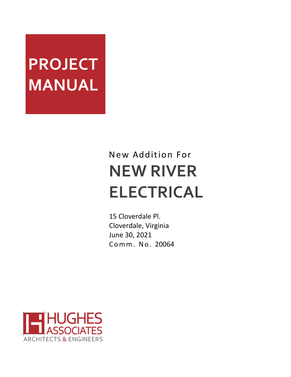# **PROJECT MANUAL**

# New Addition For **NEW RIVER ELECTRICAL**

15 Cloverdale Pl. Cloverdale, Virginia June 30, 2021 C o m m . N o . 20064

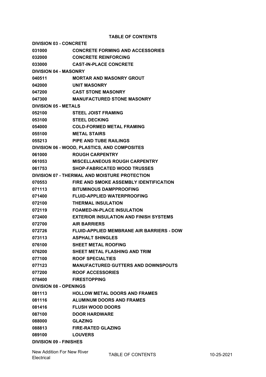**TABLE OF CONTENTS**

**DIVISION 03 - CONCRETE CONCRETE FORMING AND ACCESSORIES CONCRETE REINFORCING CAST-IN-PLACE CONCRETE DIVISION 04 - MASONRY MORTAR AND MASONRY GROUT UNIT MASONRY CAST STONE MASONRY MANUFACTURED STONE MASONRY DIVISION 05 - METALS STEEL JOIST FRAMING STEEL DECKING COLD-FORMED METAL FRAMING METAL STAIRS PIPE AND TUBE RAILINGS DIVISION 06 - WOOD, PLASTICS, AND COMPOSITES ROUGH CARPENTRY MISCELLANEOUS ROUGH CARPENTRY SHOP-FABRICATED WOOD TRUSSES DIVISION 07 - THERMAL AND MOISTURE PROTECTION FIRE AND SMOKE ASSEMBLY IDENTIFICATION BITUMINOUS DAMPPROOFING FLUID-APPLIED WATERPROOFING THERMAL INSULATION FOAMED-IN-PLACE INSULATION EXTERIOR INSULATION AND FINISH SYSTEMS AIR BARRIERS FLUID-APPLIED MEMBRANE AIR BARRIERS - DOW ASPHALT SHINGLES SHEET METAL ROOFING SHEET METAL FLASHING AND TRIM ROOF SPECIALTIES MANUFACTURED GUTTERS AND DOWNSPOUTS ROOF ACCESSORIES FIRESTOPPING DIVISION 08 - OPENINGS HOLLOW METAL DOORS AND FRAMES ALUMINUM DOORS AND FRAMES FLUSH WOOD DOORS DOOR HARDWARE GLAZING FIRE-RATED GLAZING LOUVERS DIVISION 09 - FINISHES**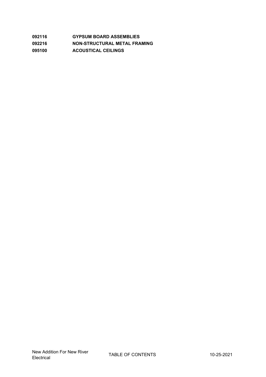| 092116 | <b>GYPSUM BOARD ASSEMBLIES</b> |
|--------|--------------------------------|
| 092216 | NON-STRUCTURAL METAL FRAMING   |
| 095100 | <b>ACOUSTICAL CEILINGS</b>     |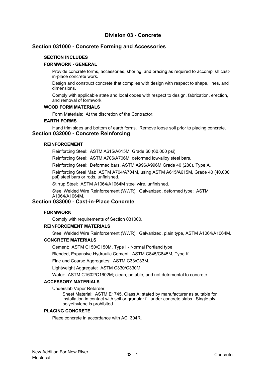# **Division 03 - Concrete**

# **Section 031000 - Concrete Forming and Accessories**

#### **SECTION INCLUDES**

#### **FORMWORK - GENERAL**

Provide concrete forms, accessories, shoring, and bracing as required to accomplish castin-place concrete work.

Design and construct concrete that complies with design with respect to shape, lines, and dimensions.

Comply with applicable state and local codes with respect to design, fabrication, erection, and removal of formwork.

#### **WOOD FORM MATERIALS**

Form Materials: At the discretion of the Contractor.

#### **EARTH FORMS**

Hand trim sides and bottom of earth forms. Remove loose soil prior to placing concrete. **Section 032000 - Concrete Reinforcing**

#### **REINFORCEMENT**

Reinforcing Steel: ASTM A615/A615M, Grade 60 (60,000 psi).

Reinforcing Steel: ASTM A706/A706M, deformed low-alloy steel bars.

Reinforcing Steel: Deformed bars, ASTM A996/A996M Grade 40 (280), Type A.

Reinforcing Steel Mat: ASTM A704/A704M, using ASTM A615/A615M, Grade 40 (40,000 psi) steel bars or rods, unfinished.

Stirrup Steel: ASTM A1064/A1064M steel wire, unfinished.

Steel Welded Wire Reinforcement (WWR): Galvanized, deformed type; ASTM A1064/A1064M.

# **Section 033000 - Cast-in-Place Concrete**

#### **FORMWORK**

Comply with requirements of Section 031000.

#### **REINFORCEMENT MATERIALS**

Steel Welded Wire Reinforcement (WWR): Galvanized, plain type, ASTM A1064/A1064M.

#### **CONCRETE MATERIALS**

Cement: ASTM C150/C150M, Type I - Normal Portland type.

Blended, Expansive Hydraulic Cement: ASTM C845/C845M, Type K.

Fine and Coarse Aggregates: ASTM C33/C33M.

Lightweight Aggregate: ASTM C330/C330M.

Water: ASTM C1602/C1602M; clean, potable, and not detrimental to concrete.

#### **ACCESSORY MATERIALS**

Underslab Vapor Retarder:

Sheet Material: ASTM E1745, Class A; stated by manufacturer as suitable for installation in contact with soil or granular fill under concrete slabs. Single ply polyethylene is prohibited.

#### **PLACING CONCRETE**

Place concrete in accordance with ACI 304R.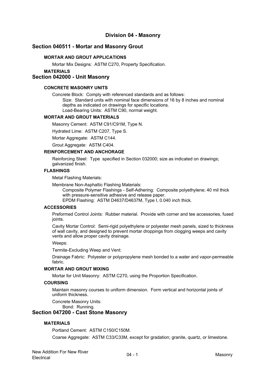# **Division 04 - Masonry**

# **Section 040511 - Mortar and Masonry Grout**

#### **MORTAR AND GROUT APPLICATIONS**

Mortar Mix Designs: ASTM C270, Property Specification.

**MATERIALS**

#### **Section 042000 - Unit Masonry**

### **CONCRETE MASONRY UNITS**

Concrete Block: Comply with referenced standards and as follows: Size: Standard units with nominal face dimensions of 16 by 8 inches and nominal depths as indicated on drawings for specific locations. Load-Bearing Units: ASTM C90, normal weight.

#### **MORTAR AND GROUT MATERIALS**

Masonry Cement: ASTM C91/C91M, Type N.

Hydrated Lime: ASTM C207, Type S.

Mortar Aggregate: ASTM C144.

Grout Aggregate: ASTM C404.

#### **REINFORCEMENT AND ANCHORAGE**

Reinforcing Steel: Type specified in Section 032000; size as indicated on drawings; galvanized finish.

#### **FLASHINGS**

Metal Flashing Materials:

Membrane Non-Asphaltic Flashing Materials:

Composite Polymer Flashings - Self-Adhering: Composite polyethylene; 40 mil thick with pressure-sensitive adhesive and release paper.

EPDM Flashing: ASTM D4637/D4637M, Type I, 0.040 inch thick.

#### **ACCESSORIES**

Preformed Control Joints: Rubber material. Provide with corner and tee accessories, fused joints.

Cavity Mortar Control: Semi-rigid polyethylene or polyester mesh panels, sized to thickness of wall cavity, and designed to prevent mortar droppings from clogging weeps and cavity vents and allow proper cavity drainage.

Weeps:

Termite-Excluding Weep and Vent:

Drainage Fabric: Polyester or polypropylene mesh bonded to <sup>a</sup> water and vapor-permeable fabric.

#### **MORTAR AND GROUT MIXING**

Mortar for Unit Masonry: ASTM C270, using the Proportion Specification.

#### **COURSING**

Maintain masonry courses to uniform dimension. Form vertical and horizontal joints of uniform thickness.

Concrete Masonry Units:

Bond: Running.

# **Section 047200 - Cast Stone Masonry**

#### **MATERIALS**

Portland Cement: ASTM C150/C150M.

Coarse Aggregate: ASTM C33/C33M, except for gradation; granite, quartz, or limestone.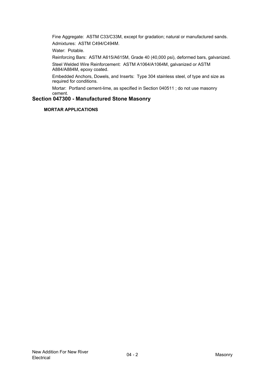Fine Aggregate: ASTM C33/C33M, except for gradation; natural or manufactured sands. Admixtures: ASTM C494/C494M.

Water: Potable.

Reinforcing Bars: ASTM A615/A615M, Grade 40 (40,000 psi), deformed bars, galvanized.

Steel Welded Wire Reinforcement: ASTM A1064/A1064M, galvanized or ASTM A884/A884M, epoxy coated.

Embedded Anchors, Dowels, and Inserts: Type 304 stainless steel, of type and size as required for conditions.

Mortar: Portland cement-lime, as specified in Section 040511 ; do not use masonry cement.

# **Section 047300 - Manufactured Stone Masonry**

**MORTAR APPLICATIONS**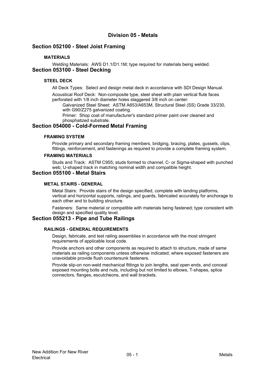# **Division 05 - Metals**

# **Section 052100 - Steel Joist Framing**

# **MATERIALS**

Welding Materials: AWS D1.1/D1.1M; type required for materials being welded. **Section 053100 - Steel Decking**

#### **STEEL DECK**

All Deck Types: Select and design metal deck in accordance with SDI Design Manual.

Acoustical Roof Deck: Non-composite type, steel sheet with plain vertical flute faces perforated with 1/8 inch diameter holes staggered 3/8 inch on center:

Galvanized Steel Sheet: ASTM A653/A653M, Structural Steel (SS) Grade 33/230, with G90/Z275 galvanized coating.

Primer: Shop coat of manufacturer's standard primer paint over cleaned and phosphatized substrate.

# **Section 054000 - Cold-Formed Metal Framing**

#### **FRAMING SYSTEM**

Provide primary and secondary framing members, bridging, bracing, plates, gussets, clips, fittings, reinforcement, and fastenings as required to provide <sup>a</sup> complete framing system.

#### **FRAMING MATERIALS**

Studs and Track: ASTM C955; studs formed to channel, C- or Sigma-shaped with punched web; U-shaped track in matching nominal width and compatible height.

# **Section 055100 - Metal Stairs**

#### **METAL STAIRS - GENERAL**

Metal Stairs: Provide stairs of the design specified, complete with landing platforms, vertical and horizontal supports, railings, and guards, fabricated accurately for anchorage to each other and to building structure.

Fasteners: Same material or compatible with materials being fastened; type consistent with design and specified quality level.

# **Section 055213 - Pipe and Tube Railings**

#### **RAILINGS - GENERAL REQUIREMENTS**

Design, fabricate, and test railing assemblies in accordance with the most stringent requirements of applicable local code.

Provide anchors and other components as required to attach to structure, made of same materials as railing components unless otherwise indicated; where exposed fasteners are unavoidable provide flush countersunk fasteners.

Provide slip-on non-weld mechanical fittings to join lengths, seal open ends, and conceal exposed mounting bolts and nuts, including but not limited to elbows, T-shapes, splice connectors, flanges, escutcheons, and wall brackets.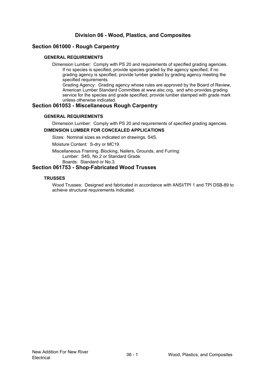# **Division 06 - Wood, Plastics, and Composites**

# **Section 061000 - Rough Carpentry**

#### **GENERAL REQUIREMENTS**

Dimension Lumber: Comply with PS 20 and requirements of specified grading agencies. If no species is specified, provide species graded by the agency specified; if no grading agency is specified, provide lumber graded by grading agency meeting the specified requirements.

Grading Agency: Grading agency whose rules are approved by the Board of Review, American Lumber Standard Committee at www.alsc.org, and who provides grading service for the species and grade specified; provide lumber stamped with grade mark unless otherwise indicated.

# **Section 061053 - Miscellaneous Rough Carpentry**

#### **GENERAL REQUIREMENTS**

Dimension Lumber: Comply with PS 20 and requirements of specified grading agencies.

#### **DIMENSION LUMBER FOR CONCEALED APPLICATIONS**

Sizes: Nominal sizes as indicated on drawings, S4S.

Moisture Content: S-dry or MC19.

Miscellaneous Framing, Blocking, Nailers, Grounds, and Furring: Lumber: S4S, No.2 or Standard Grade. Boards: Standard or No.3.

# **Section 061753 - Shop-Fabricated Wood Trusses**

#### **TRUSSES**

Wood Trusses: Designed and fabricated in accordance with ANSI/TPI 1 and TPI DSB-89 to achieve structural requirements indicated.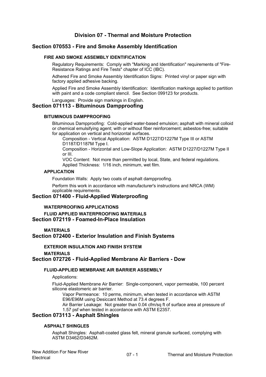# **Division 07 - Thermal and Moisture Protection**

# **Section 070553 - Fire and Smoke Assembly Identification**

#### **FIRE AND SMOKE ASSEMBLY IDENTIFICATION**

Regulatory Requirements: Comply with "Marking and Identification" requirements of "Fire-Resistance Ratings and Fire Tests" chapter of ICC (IBC).

Adhered Fire and Smoke Assembly Identification Signs: Printed vinyl or paper sign with factory applied adhesive backing.

Applied Fire and Smoke Assembly Identification: Identification markings applied to partition with paint and <sup>a</sup> code compliant stencil. See Section 099123 for products.

Languages: Provide sign markings in English.

# **Section 071113 - Bituminous Dampproofing**

# **BITUMINOUS DAMPPROOFING**

Bituminous Dampproofing: Cold-applied water-based emulsion; asphalt with mineral colloid or chemical emulsifying agent; with or without fiber reinforcement; asbestos-free; suitable for application on vertical and horizontal surfaces.

Composition - Vertical Application: ASTM D1227/D1227M Type III or ASTM D1187/D1187M Type I.

Composition - Horizontal and Low-Slope Application: ASTM D1227/D1227M Type II or III.

VOC Content: Not more than permitted by local, State, and federal regulations. Applied Thickness: 1/16 inch, minimum, wet film.

#### **APPLICATION**

Foundation Walls: Apply two coats of asphalt dampproofing.

Perform this work in accordance with manufacturer's instructions and NRCA (WM) applicable requirements.

# **Section 071400 - Fluid-Applied Waterproofing**

**WATERPROOFING APPLICATIONS**

**FLUID APPLIED WATERPROOFING MATERIALS Section 072119 - Foamed-In-Place Insulation**

**MATERIALS**

**Section 072400 - Exterior Insulation and Finish Systems**

**EXTERIOR INSULATION AND FINISH SYSTEM**

#### **MATERIALS**

#### **Section 072726 - Fluid-Applied Membrane Air Barriers - Dow**

#### **FLUID-APPLIED MEMBRANE AIR BARRIER ASSEMBLY**

Applications:

Fluid-Applied Membrane Air Barrier: Single-component, vapor permeable, 100 percent silicone elastomeric air barrier.

Vapor Permeance: 10 perms, minimum, when tested in accordance with ASTM E96/E96M using Desiccant Method at 73.4 degrees F.

Air Barrier Leakage: Not greater than 0.04 cfm/sq ft of surface area at pressure of 1.57 psf when tested in accordance with ASTM E2357.

#### **Section 073113 - Asphalt Shingles**

#### **ASPHALT SHINGLES**

Asphalt Shingles: Asphalt-coated glass felt, mineral granule surfaced, complying with ASTM D3462/D3462M.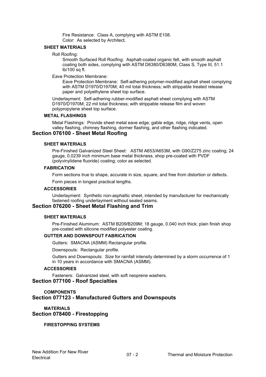Fire Resistance: Class A, complying with ASTM E108. Color: As selected by Architect.

#### **SHEET MATERIALS**

#### Roll Roofing:

Smooth Surfaced Roll Roofing: Asphalt-coated organic felt, with smooth asphalt coating both sides, complying with ASTM D6380/D6380M, Class S, Type III, 51.1 lb/100 sq ft.

#### Eave Protection Membrane:

Eave Protection Membrane: Self-adhering polymer-modified asphalt sheet complying with ASTM D1970/D1970M: 40 mil total thickness; with strippable treated release paper and polyethylene sheet top surface.

Underlayment: Self-adhering rubber-modified asphalt sheet complying with ASTM D1970/D1970M; 22 mil total thickness; with strippable release film and woven polypropylene sheet top surface.

#### **METAL FLASHINGS**

Metal Flashings: Provide sheet metal eave edge, gable edge, ridge, ridge vents, open valley flashing, chimney flashing, dormer flashing, and other flashing indicated.

# **Section 076100 - Sheet Metal Roofing**

#### **SHEET MATERIALS**

Pre-Finished Galvanized Steel Sheet: ASTM A653/A653M, with G90/Z275 zinc coating; 24 gauge, 0.0239 inch minimum base metal thickness, shop pre-coated with PVDF (polyvinylidene fluoride) coating; color as selected.

#### **FABRICATION**

Form sections true to shape, accurate in size, square, and free from distortion or defects. Form pieces in longest practical lengths.

#### **ACCESSORIES**

Underlayment: Synthetic non-asphaltic sheet, intended by manufacturer for mechanically fastened roofing underlayment without sealed seams.

# **Section 076200 - Sheet Metal Flashing and Trim**

#### **SHEET MATERIALS**

Pre-Finished Aluminum: ASTM B209/B209M; 18 gauge, 0.040 inch thick; plain finish shop pre-coated with silicone modified polyester coating.

# **GUTTER AND DOWNSPOUT FABRICATION**

Gutters: SMACNA (ASMM) Rectangular profile.

Downspouts: Rectangular profile.

Gutters and Downspouts: Size for rainfall intensity determined by <sup>a</sup> storm occurrence of 1 in 10 years in accordance with SMACNA (ASMM).

#### **ACCESSORIES**

Fasteners: Galvanized steel, with soft neoprene washers. **Section 077100 - Roof Specialties**

# **COMPONENTS Section 077123 - Manufactured Gutters and Downspouts**

## **MATERIALS Section 078400 - Firestopping**

**FIRESTOPPING SYSTEMS**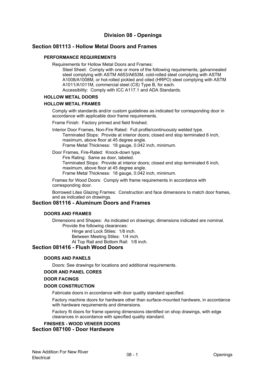# **Division 08 - Openings**

# **Section 081113 - Hollow Metal Doors and Frames**

# **PERFORMANCE REQUIREMENTS**

Requirements for Hollow Metal Doors and Frames:

Steel Sheet: Comply with one or more of the following requirements; galvannealed steel complying with ASTM A653/A653M, cold-rolled steel complying with ASTM A1008/A1008M, or hot-rolled pickled and oiled (HRPO) steel complying with ASTM A1011/A1011M, commercial steel (CS) Type B, for each.

Accessibility: Comply with ICC A117.1 and ADA Standards.

# **HOLLOW METAL DOORS**

#### **HOLLOW METAL FRAMES**

Comply with standards and/or custom guidelines as indicated for corresponding door in accordance with applicable door frame requirements.

Frame Finish: Factory primed and field finished.

Interior Door Frames, Non-Fire Rated: Full profile/continuously welded type. Terminated Stops: Provide at interior doors; closed end stop terminated 6 inch, maximum, above floor at 45 degree angle. Frame Metal Thickness: 18 gauge, 0.042 inch, minimum.

Door Frames, Fire-Rated: Knock-down type.

Fire Rating: Same as door, labeled.

Terminated Stops: Provide at interior doors; closed end stop terminated 6 inch, maximum, above floor at 45 degree angle.

Frame Metal Thickness: 18 gauge, 0.042 inch, minimum.

Frames for Wood Doors: Comply with frame requirements in accordance with corresponding door.

Borrowed Lites Glazing Frames: Construction and face dimensions to match door frames, and as indicated on drawings.

#### **Section 081116 - Aluminum Doors and Frames**

#### **DOORS AND FRAMES**

Dimensions and Shapes: As indicated on drawings; dimensions indicated are nominal. Provide the following clearances: Hinge and Lock Stiles: 1/8 inch.

Between Meeting Stiles: 1/4 inch.

At Top Rail and Bottom Rail: 1/8 inch.

# **Section 081416 - Flush Wood Doors**

#### **DOORS AND PANELS**

Doors: See drawings for locations and additional requirements.

#### **DOOR AND PANEL CORES**

#### **DOOR FACINGS**

#### **DOOR CONSTRUCTION**

Fabricate doors in accordance with door quality standard specified.

Factory machine doors for hardware other than surface-mounted hardware, in accordance with hardware requirements and dimensions.

Factory fit doors for frame opening dimensions identified on shop drawings, with edge clearances in accordance with specified quality standard.

# **FINISHES - WOOD VENEER DOORS Section 087100 - Door Hardware**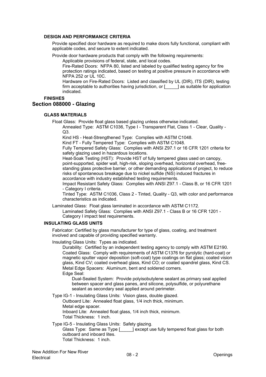#### **DESIGN AND PERFORMANCE CRITERIA**

Provide specified door hardware as required to make doors fully functional, compliant with applicable codes, and secure to extent indicated.

Provide door hardware products that comply with the following requirements:

Applicable provisions of federal, state, and local codes.

Fire-Rated Doors: NFPA 80, listed and labeled by qualified testing agency for fire protection ratings indicated, based on testing at positive pressure in accordance with NFPA 252 or UL 10C.

Hardware on Fire-Rated Doors: Listed and classified by UL (DIR), ITS (DIR), testing firm acceptable to authorities having jurisdiction, or [ ] as suitable for application indicated.

# **FINISHES**

# **Section 088000 - Glazing**

#### **GLASS MATERIALS**

Float Glass: Provide float glass based glazing unless otherwise indicated.

Annealed Type: ASTM C1036, Type I - Transparent Flat, Class 1 - Clear, Quality - Q3.

Kind HS - Heat-Strengthened Type: Complies with ASTM C1048.

Kind FT - Fully Tempered Type: Complies with ASTM C1048.

Fully Tempered Safety Glass: Complies with ANSI Z97.1 or 16 CFR 1201 criteria for safety glazing used in hazardous locations.

Heat-Soak Testing (HST): Provide HST of fully tempered glass used on canopy, point-supported, spider wall, high-risk, sloping overhead, horizontal overhead, freestanding glass protective barrier, or other demanding applications of project, to reduce risks of spontaneous breakage due to nickel sulfide (NiS) induced fractures in accordance with industry established testing requirements.

Impact Resistant Safety Glass: Complies with ANSI Z97.1 - Class B, or 16 CFR 1201 - Category I criteria.

Tinted Type: ASTM C1036, Class 2 - Tinted, Quality - Q3, with color and performance characteristics as indicated.

Laminated Glass: Float glass laminated in accordance with ASTM C1172.

Laminated Safety Glass: Complies with ANSI Z97.1 - Class B or 16 CFR 1201 - Category I impact test requirements.

#### **INSULATING GLASS UNITS**

Fabricator: Certified by glass manufacturer for type of glass, coating, and treatment involved and capable of providing specified warranty.

Insulating Glass Units: Types as indicated.

Durability: Certified by an independent testing agency to comply with ASTM E2190. Coated Glass: Comply with requirements of ASTM C1376 for pyrolytic (hard-coat) or magnetic sputter vapor deposition (soft-coat) type coatings on flat glass; coated vision glass, Kind CV; coated overhead glass, Kind CO; or coated spandrel glass, Kind CS. Metal Edge Spacers: Aluminum, bent and soldered corners. Edge Seal:

Dual-Sealed System: Provide polyisobutylene sealant as primary seal applied between spacer and glass panes, and silicone, polysulfide, or polyurethane sealant as secondary seal applied around perimeter.

Type IG-1 - Insulating Glass Units: Vision glass, double glazed. Outboard Lite: Annealed float glass, 1/4 inch thick, minimum. Metal edge spacer. Inboard Lite: Annealed float glass, 1/4 inch thick, minimum. Total Thickness: 1 inch.

Type IG-5 - Insulating Glass Units: Safety glazing. Glass Type: Same as Type [\_\_\_\_\_] except use fully tempered float glass for both outboard and inboard lites. Total Thickness: 1 inch.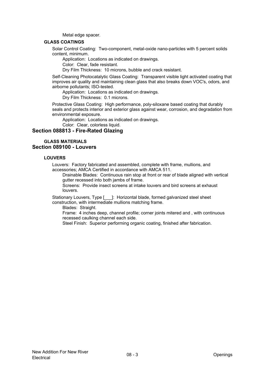Metal edge spacer.

#### **GLASS COATINGS**

Solar Control Coating: Two-component, metal-oxide nano-particles with 5 percent solids content, minimum.

Application: Locations as indicated on drawings.

Color: Clear, fade resistant.

Dry Film Thickness: 10 microns, bubble and crack resistant.

Self-Cleaning Photocatalytic Glass Coating: Transparent visible light activated coating that improves air quality and maintaining clean glass that also breaks down VOC's, odors, and airborne pollutants; ISO-tested.

Application: Locations as indicated on drawings.

Dry Film Thickness: 0.1 microns.

Protective Glass Coating: High performance, poly-siloxane based coating that durably seals and protects interior and exterior glass against wear, corrosion, and degradation from environmental exposure.

Application: Locations as indicated on drawings.

# Color: Clear, colorless liquid.

# **Section 088813 - Fire-Rated Glazing**

#### **GLASS MATERIALS Section 089100 - Louvers**

#### **LOUVERS**

Louvers: Factory fabricated and assembled, complete with frame, mullions, and accessories; AMCA Certified in accordance with AMCA 511.

Drainable Blades: Continuous rain stop at front or rear of blade aligned with vertical gutter recessed into both jambs of frame.

Screens: Provide insect screens at intake louvers and bird screens at exhaust louvers.

Stationary Louvers, Type [\_\_\_]: Horizontal blade, formed galvanized steel sheet construction, with intermediate mullions matching frame.

Blades: Straight.

Frame: 4 inches deep, channel profile; corner joints mitered and , with continuous recessed caulking channel each side.

Steel Finish: Superior performing organic coating, finished after fabrication.